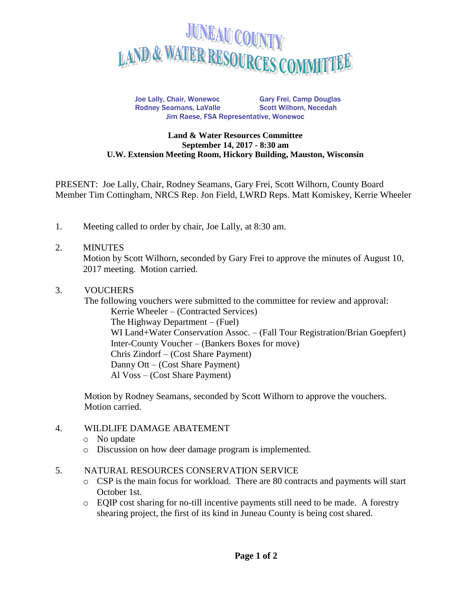

Joe Lally, Chair, Wonewoc Gary Frei, Camp Douglas Rodney Seamans, LaValle Scott Wilhorn, Necedah Jim Raese, FSA Representative, Wonewoc

#### **Land & Water Resources Committee September 14, 2017 - 8:30 am U.W. Extension Meeting Room, Hickory Building, Mauston, Wisconsin**

PRESENT: Joe Lally, Chair, Rodney Seamans, Gary Frei, Scott Wilhorn, County Board Member Tim Cottingham, NRCS Rep. Jon Field, LWRD Reps. Matt Komiskey, Kerrie Wheeler

1. Meeting called to order by chair, Joe Lally, at 8:30 am.

#### 2. MINUTES

Motion by Scott Wilhorn, seconded by Gary Frei to approve the minutes of August 10, 2017 meeting. Motion carried.

### 3. VOUCHERS

The following vouchers were submitted to the committee for review and approval: Kerrie Wheeler – (Contracted Services) The Highway Department – (Fuel) WI Land+Water Conservation Assoc. – (Fall Tour Registration/Brian Goepfert) Inter-County Voucher – (Bankers Boxes for move) Chris Zindorf – (Cost Share Payment) Danny Ott – (Cost Share Payment) Al Voss – (Cost Share Payment)

Motion by Rodney Seamans, seconded by Scott Wilhorn to approve the vouchers. Motion carried.

#### 4. WILDLIFE DAMAGE ABATEMENT

- o No update
- o Discussion on how deer damage program is implemented.
- 5. NATURAL RESOURCES CONSERVATION SERVICE
	- o CSP is the main focus for workload. There are 80 contracts and payments will start October 1st.
	- o EQIP cost sharing for no-till incentive payments still need to be made. A forestry shearing project, the first of its kind in Juneau County is being cost shared.